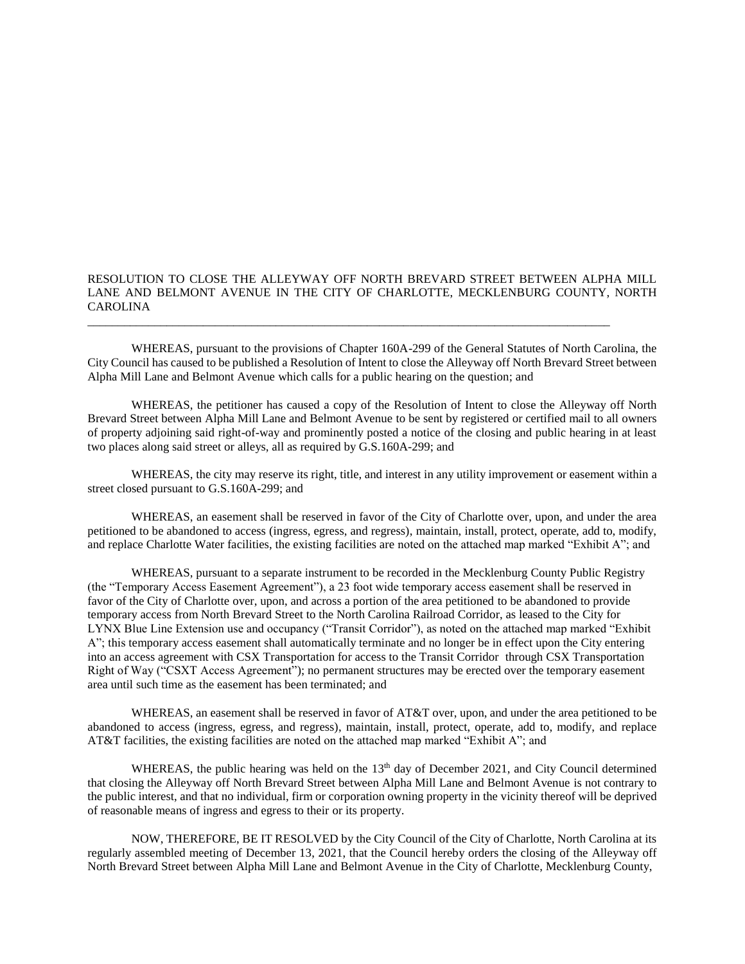## RESOLUTION TO CLOSE THE ALLEYWAY OFF NORTH BREVARD STREET BETWEEN ALPHA MILL LANE AND BELMONT AVENUE IN THE CITY OF CHARLOTTE, MECKLENBURG COUNTY, NORTH CAROLINA

\_\_\_\_\_\_\_\_\_\_\_\_\_\_\_\_\_\_\_\_\_\_\_\_\_\_\_\_\_\_\_\_\_\_\_\_\_\_\_\_\_\_\_\_\_\_\_\_\_\_\_\_\_\_\_\_\_\_\_\_\_\_\_\_\_\_\_\_\_\_\_\_\_\_\_\_\_\_\_\_\_\_\_\_\_\_

WHEREAS, pursuant to the provisions of Chapter 160A-299 of the General Statutes of North Carolina, the City Council has caused to be published a Resolution of Intent to close the Alleyway off North Brevard Street between Alpha Mill Lane and Belmont Avenue which calls for a public hearing on the question; and

WHEREAS, the petitioner has caused a copy of the Resolution of Intent to close the Alleyway off North Brevard Street between Alpha Mill Lane and Belmont Avenue to be sent by registered or certified mail to all owners of property adjoining said right-of-way and prominently posted a notice of the closing and public hearing in at least two places along said street or alleys, all as required by G.S.160A-299; and

WHEREAS, the city may reserve its right, title, and interest in any utility improvement or easement within a street closed pursuant to G.S.160A-299; and

WHEREAS, an easement shall be reserved in favor of the City of Charlotte over, upon, and under the area petitioned to be abandoned to access (ingress, egress, and regress), maintain, install, protect, operate, add to, modify, and replace Charlotte Water facilities, the existing facilities are noted on the attached map marked "Exhibit A"; and

WHEREAS, pursuant to a separate instrument to be recorded in the Mecklenburg County Public Registry (the "Temporary Access Easement Agreement"), a 23 foot wide temporary access easement shall be reserved in favor of the City of Charlotte over, upon, and across a portion of the area petitioned to be abandoned to provide temporary access from North Brevard Street to the North Carolina Railroad Corridor, as leased to the City for LYNX Blue Line Extension use and occupancy ("Transit Corridor"), as noted on the attached map marked "Exhibit A"; this temporary access easement shall automatically terminate and no longer be in effect upon the City entering into an access agreement with CSX Transportation for access to the Transit Corridor through CSX Transportation Right of Way ("CSXT Access Agreement"); no permanent structures may be erected over the temporary easement area until such time as the easement has been terminated; and

WHEREAS, an easement shall be reserved in favor of AT&T over, upon, and under the area petitioned to be abandoned to access (ingress, egress, and regress), maintain, install, protect, operate, add to, modify, and replace AT&T facilities, the existing facilities are noted on the attached map marked "Exhibit A"; and

WHEREAS, the public hearing was held on the  $13<sup>th</sup>$  day of December 2021, and City Council determined that closing the Alleyway off North Brevard Street between Alpha Mill Lane and Belmont Avenue is not contrary to the public interest, and that no individual, firm or corporation owning property in the vicinity thereof will be deprived of reasonable means of ingress and egress to their or its property.

NOW, THEREFORE, BE IT RESOLVED by the City Council of the City of Charlotte, North Carolina at its regularly assembled meeting of December 13, 2021, that the Council hereby orders the closing of the Alleyway off North Brevard Street between Alpha Mill Lane and Belmont Avenue in the City of Charlotte, Mecklenburg County,